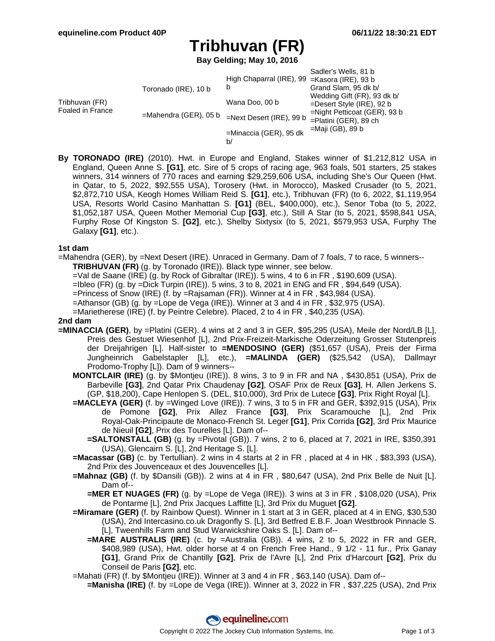# **Tribhuvan (FR)**

**Bay Gelding; May 10, 2016**

|                                    |                                                  |                                               | Sadler's Wells, 81 b            |
|------------------------------------|--------------------------------------------------|-----------------------------------------------|---------------------------------|
| Tribhuvan (FR)<br>Foaled in France | Toronado (IRE), 10 b<br>$=$ Mahendra (GER), 05 b | High Chaparral (IRE), 99 = Kasora (IRE), 93 b |                                 |
|                                    |                                                  | b                                             | Grand Slam, 95 dk b/            |
|                                    |                                                  | Wana Doo, 00 b                                | Wedding Gift (FR), 93 dk b/     |
|                                    |                                                  |                                               | $=$ Desert Style (IRE), 92 b    |
|                                    |                                                  | $=$ Next Desert (IRE), 99 b                   | $=$ Night Petticoat (GER), 93 b |
|                                    |                                                  |                                               | $=$ Platini (GER), 89 ch        |
|                                    |                                                  | =Minaccia (GER), 95 dk                        | =Maji (GB), 89 b                |
|                                    |                                                  | b/                                            |                                 |

**By TORONADO (IRE)** (2010). Hwt. in Europe and England, Stakes winner of \$1,212,812 USA in England, Queen Anne S. **[G1]**, etc. Sire of 5 crops of racing age, 963 foals, 501 starters, 25 stakes winners, 314 winners of 770 races and earning \$29,259,606 USA, including She's Our Queen (Hwt. in Qatar, to 5, 2022, \$92,555 USA), Torosery (Hwt. in Morocco), Masked Crusader (to 5, 2021, \$2,872,710 USA, Keogh Homes William Reid S. **[G1]**, etc.), Tribhuvan (FR) (to 6, 2022, \$1,119,954 USA, Resorts World Casino Manhattan S. **[G1]** (BEL, \$400,000), etc.), Senor Toba (to 5, 2022, \$1,052,187 USA, Queen Mother Memorial Cup **[G3]**, etc.), Still A Star (to 5, 2021, \$598,841 USA, Furphy Rose Of Kingston S. **[G2]**, etc.), Shelby Sixtysix (to 5, 2021, \$579,953 USA, Furphy The Galaxy **[G1]**, etc.).

### **1st dam**

=Mahendra (GER), by =Next Desert (IRE). Unraced in Germany. Dam of 7 foals, 7 to race, 5 winners-- **TRIBHUVAN (FR)** (g. by Toronado (IRE)). Black type winner, see below.

- =Val de Saane (IRE) (g. by Rock of Gibraltar (IRE)). 5 wins, 4 to 6 in FR , \$190,609 (USA).
- =Ibleo (FR) (g. by =Dick Turpin (IRE)). 5 wins, 3 to 8, 2021 in ENG and FR , \$94,649 (USA).
- =Princess of Snow (IRE) (f. by =Rajsaman (FR)). Winner at 4 in FR , \$43,984 (USA).
- =Athansor (GB) (g. by =Lope de Vega (IRE)). Winner at 3 and 4 in FR , \$32,975 (USA).
- =Marietherese (IRE) (f. by Peintre Celebre). Placed, 2 to 4 in FR , \$40,235 (USA).

### **2nd dam**

- **=MINACCIA (GER)**, by =Platini (GER). 4 wins at 2 and 3 in GER, \$95,295 (USA), Meile der Nord/LB [L], Preis des Gestuet Wiesenhof [L], 2nd Prix-Freizeit-Markische Oderzeitung Grosser Stutenpreis der Dreijahrigen [L]. Half-sister to **=MENDOSINO (GER)** (\$51,657 (USA), Preis der Firma Jungheinrich Gabelstapler [L], etc.), **=MALINDA (GER)** (\$25,542 (USA), Dallmayr Prodomo-Trophy [L]). Dam of 9 winners--
	- **MONTCLAIR (IRE)** (g. by \$Montjeu (IRE)). 8 wins, 3 to 9 in FR and NA , \$430,851 (USA), Prix de Barbeville **[G3]**, 2nd Qatar Prix Chaudenay **[G2]**, OSAF Prix de Reux **[G3]**, H. Allen Jerkens S. (GP, \$18,200), Cape Henlopen S. (DEL, \$10,000), 3rd Prix de Lutece **[G3]**, Prix Right Royal [L].
	- **=MACLEYA (GER)** (f. by =Winged Love (IRE)). 7 wins, 3 to 5 in FR and GER, \$392,915 (USA), Prix de Pomone **[G2]**, Prix Allez France **[G3]**, Prix Scaramouche [L], 2nd Prix Royal-Oak-Principaute de Monaco-French St. Leger **[G1]**, Prix Corrida **[G2]**, 3rd Prix Maurice de Nieuil **[G2]**, Prix des Tourelles [L]. Dam of--
		- **=SALTONSTALL (GB)** (g. by =Pivotal (GB)). 7 wins, 2 to 6, placed at 7, 2021 in IRE, \$350,391 (USA), Glencairn S. [L], 2nd Heritage S. [L].
	- **=Macassar (GB)** (c. by Tertullian). 2 wins in 4 starts at 2 in FR , placed at 4 in HK , \$83,393 (USA), 2nd Prix des Jouvenceaux et des Jouvencelles [L].
	- **=Mahnaz (GB)** (f. by \$Dansili (GB)). 2 wins at 4 in FR , \$80,647 (USA), 2nd Prix Belle de Nuit [L]. Dam of--
		- **=MER ET NUAGES (FR)** (g. by =Lope de Vega (IRE)). 3 wins at 3 in FR , \$108,020 (USA), Prix de Pontarme [L], 2nd Prix Jacques Laffitte [L], 3rd Prix du Muguet **[G2]**.
	- **=Miramare (GER)** (f. by Rainbow Quest). Winner in 1 start at 3 in GER, placed at 4 in ENG, \$30,530 (USA), 2nd Intercasino.co.uk Dragonfly S. [L], 3rd Betfred E.B.F. Joan Westbrook Pinnacle S. [L], Tweenhills Farm and Stud Warwickshire Oaks S. [L]. Dam of--
		- **=MARE AUSTRALIS (IRE)** (c. by =Australia (GB)). 4 wins, 2 to 5, 2022 in FR and GER, \$408,989 (USA), Hwt. older horse at 4 on French Free Hand., 9 1/2 - 11 fur., Prix Ganay **[G1]**, Grand Prix de Chantilly **[G2]**, Prix de l'Avre [L], 2nd Prix d'Harcourt **[G2]**, Prix du Conseil de Paris **[G2]**, etc.
	- =Mahati (FR) (f. by \$Montjeu (IRE)). Winner at 3 and 4 in FR , \$63,140 (USA). Dam of--
		- **=Manisha (IRE)** (f. by =Lope de Vega (IRE)). Winner at 3, 2022 in FR , \$37,225 (USA), 2nd Prix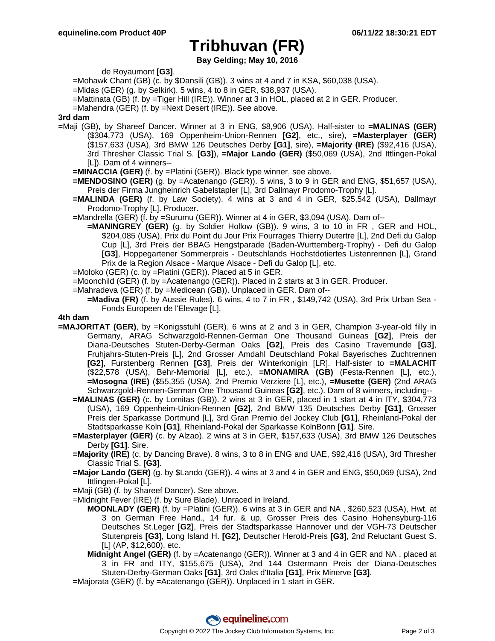## **Tribhuvan (FR)**

**Bay Gelding; May 10, 2016**

de Royaumont **[G3]**.

- =Mohawk Chant (GB) (c. by \$Dansili (GB)). 3 wins at 4 and 7 in KSA, \$60,038 (USA).
- =Midas (GER) (g. by Selkirk). 5 wins, 4 to 8 in GER, \$38,937 (USA).
- =Mattinata (GB) (f. by =Tiger Hill (IRE)). Winner at 3 in HOL, placed at 2 in GER. Producer.
- =Mahendra (GER) (f. by =Next Desert (IRE)). See above.
- **3rd dam**
- =Maji (GB), by Shareef Dancer. Winner at 3 in ENG, \$8,906 (USA). Half-sister to **=MALINAS (GER)** (\$304,773 (USA), 169 Oppenheim-Union-Rennen **[G2]**, etc., sire), **=Masterplayer (GER)** (\$157,633 (USA), 3rd BMW 126 Deutsches Derby **[G1]**, sire), **=Majority (IRE)** (\$92,416 (USA), 3rd Thresher Classic Trial S. **[G3]**), **=Major Lando (GER)** (\$50,069 (USA), 2nd Ittlingen-Pokal [L]). Dam of 4 winners--
	- **=MINACCIA (GER)** (f. by =Platini (GER)). Black type winner, see above.
	- **=MENDOSINO (GER)** (g. by =Acatenango (GER)). 5 wins, 3 to 9 in GER and ENG, \$51,657 (USA), Preis der Firma Jungheinrich Gabelstapler [L], 3rd Dallmayr Prodomo-Trophy [L].
	- **=MALINDA (GER)** (f. by Law Society). 4 wins at 3 and 4 in GER, \$25,542 (USA), Dallmayr Prodomo-Trophy [L]. Producer.
	- =Mandrella (GER) (f. by =Surumu (GER)). Winner at 4 in GER, \$3,094 (USA). Dam of--
		- **=MANINGREY (GER)** (g. by Soldier Hollow (GB)). 9 wins, 3 to 10 in FR , GER and HOL, \$204,085 (USA), Prix du Point du Jour Prix Fourrages Thierry Dutertre [L], 2nd Defi du Galop Cup [L], 3rd Preis der BBAG Hengstparade (Baden-Wurttemberg-Trophy) - Defi du Galop **[G3]**, Hoppegartener Sommerpreis - Deutschlands Hochstdotiertes Listenrennen [L], Grand Prix de la Region Alsace - Marque Alsace - Defi du Galop [L], etc.
	- =Moloko (GER) (c. by =Platini (GER)). Placed at 5 in GER.
	- =Moonchild (GER) (f. by =Acatenango (GER)). Placed in 2 starts at 3 in GER. Producer.
	- =Mahradeva (GER) (f. by =Medicean (GB)). Unplaced in GER. Dam of--
		- **=Madiva (FR)** (f. by Aussie Rules). 6 wins, 4 to 7 in FR , \$149,742 (USA), 3rd Prix Urban Sea Fonds Europeen de l'Elevage [L].

#### **4th dam**

- **=MAJORITAT (GER)**, by =Konigsstuhl (GER). 6 wins at 2 and 3 in GER, Champion 3-year-old filly in Germany, ARAG Schwarzgold-Rennen-German One Thousand Guineas **[G2]**, Preis der Diana-Deutsches Stuten-Derby-German Oaks **[G2]**, Preis des Casino Travemunde **[G3]**, Fruhjahrs-Stuten-Preis [L], 2nd Grosser Amdahl Deutschland Pokal Bayerisches Zuchtrennen **[G2]**, Furstenberg Rennen **[G3]**, Preis der Winterkonigin [LR]. Half-sister to **=MALACHIT** (\$22,578 (USA), Behr-Memorial [L], etc.), **=MONAMIRA (GB)** (Festa-Rennen [L], etc.), **=Mosogna (IRE)** (\$55,355 (USA), 2nd Premio Verziere [L], etc.), **=Musette (GER)** (2nd ARAG Schwarzgold-Rennen-German One Thousand Guineas **[G2]**, etc.). Dam of 8 winners, including--
	- **=MALINAS (GER)** (c. by Lomitas (GB)). 2 wins at 3 in GER, placed in 1 start at 4 in ITY, \$304,773 (USA), 169 Oppenheim-Union-Rennen **[G2]**, 2nd BMW 135 Deutsches Derby **[G1]**, Grosser Preis der Sparkasse Dortmund [L], 3rd Gran Premio del Jockey Club **[G1]**, Rheinland-Pokal der Stadtsparkasse Koln **[G1]**, Rheinland-Pokal der Sparkasse KolnBonn **[G1]**. Sire.
	- **=Masterplayer (GER)** (c. by Alzao). 2 wins at 3 in GER, \$157,633 (USA), 3rd BMW 126 Deutsches Derby **[G1]**. Sire.
	- **=Majority (IRE)** (c. by Dancing Brave). 8 wins, 3 to 8 in ENG and UAE, \$92,416 (USA), 3rd Thresher Classic Trial S. **[G3]**.
	- **=Major Lando (GER)** (g. by \$Lando (GER)). 4 wins at 3 and 4 in GER and ENG, \$50,069 (USA), 2nd Ittlingen-Pokal [L].
	- =Maji (GB) (f. by Shareef Dancer). See above.
	- =Midnight Fever (IRE) (f. by Sure Blade). Unraced in Ireland.
		- **MOONLADY (GER)** (f. by =Platini (GER)). 6 wins at 3 in GER and NA , \$260,523 (USA), Hwt. at 3 on German Free Hand., 14 fur. & up, Grosser Preis des Casino Hohensyburg-116 Deutsches St.Leger **[G2]**, Preis der Stadtsparkasse Hannover und der VGH-73 Deutscher Stutenpreis **[G3]**, Long Island H. **[G2]**, Deutscher Herold-Preis **[G3]**, 2nd Reluctant Guest S. [L] (AP, \$12,600), etc.
		- **Midnight Angel (GER)** (f. by =Acatenango (GER)). Winner at 3 and 4 in GER and NA , placed at 3 in FR and ITY, \$155,675 (USA), 2nd 144 Ostermann Preis der Diana-Deutsches Stuten-Derby-German Oaks **[G1]**, 3rd Oaks d'Italia **[G1]**, Prix Minerve **[G3]**.

=Majorata (GER) (f. by =Acatenango (GER)). Unplaced in 1 start in GER.